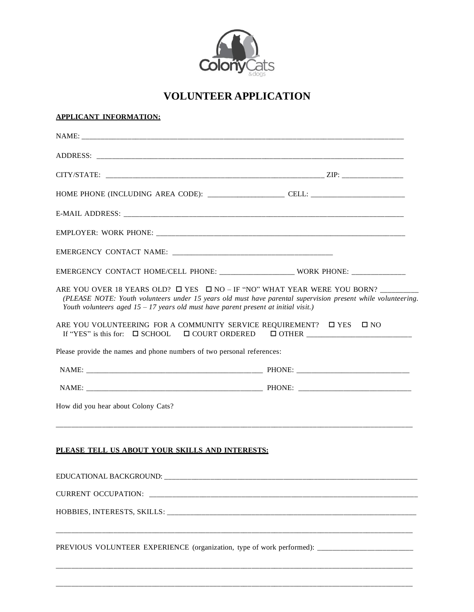

## **VOLUNTEER APPLICATION**

| APPLICANT INFORMATION: |
|------------------------|
|                        |

| EMERGENCY CONTACT HOME/CELL PHONE: _________________________ WORK PHONE: ______________                                                                                                                                                                                                     |  |
|---------------------------------------------------------------------------------------------------------------------------------------------------------------------------------------------------------------------------------------------------------------------------------------------|--|
| ARE YOU OVER 18 YEARS OLD? $\Box$ YES $\Box$ NO - IF "NO" WHAT YEAR WERE YOU BORN?<br>(PLEASE NOTE: Youth volunteers under 15 years old must have parental supervision present while volunteering.<br>Youth volunteers aged $15 - 17$ years old must have parent present at initial visit.) |  |
| ARE YOU VOLUNTEERING FOR A COMMUNITY SERVICE REQUIREMENT? □ YES □ NO                                                                                                                                                                                                                        |  |
| Please provide the names and phone numbers of two personal references:                                                                                                                                                                                                                      |  |
|                                                                                                                                                                                                                                                                                             |  |
|                                                                                                                                                                                                                                                                                             |  |
| How did you hear about Colony Cats?                                                                                                                                                                                                                                                         |  |
| PLEASE TELL US ABOUT YOUR SKILLS AND INTERESTS:                                                                                                                                                                                                                                             |  |
| EDUCATIONAL BACKGROUND:                                                                                                                                                                                                                                                                     |  |
|                                                                                                                                                                                                                                                                                             |  |
|                                                                                                                                                                                                                                                                                             |  |
| PREVIOUS VOLUNTEER EXPERIENCE (organization, type of work performed): __________________                                                                                                                                                                                                    |  |
|                                                                                                                                                                                                                                                                                             |  |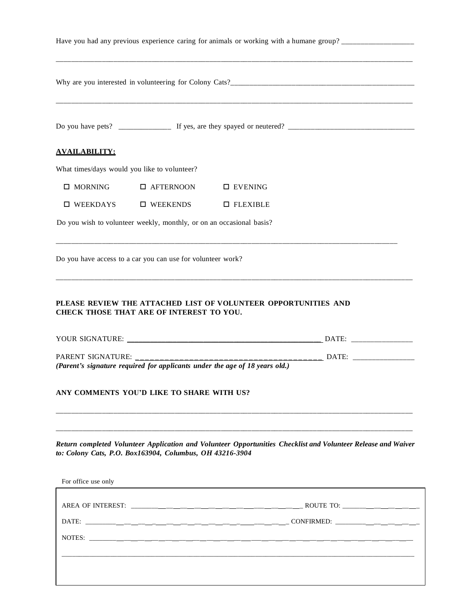|                      |                                                                      | Have you had any previous experience caring for animals or working with a humane group?                       |
|----------------------|----------------------------------------------------------------------|---------------------------------------------------------------------------------------------------------------|
|                      |                                                                      |                                                                                                               |
|                      |                                                                      |                                                                                                               |
| <b>AVAILABILITY:</b> |                                                                      |                                                                                                               |
|                      | What times/days would you like to volunteer?                         |                                                                                                               |
| $\square$ MORNING    | □ AFTERNOON                                                          | $\square$ EVENING                                                                                             |
| $\square$ WEEKDAYS   | $\square$ WEEKENDS                                                   | $\Box$ FLEXIBLE                                                                                               |
|                      | Do you wish to volunteer weekly, monthly, or on an occasional basis? |                                                                                                               |
|                      | Do you have access to a car you can use for volunteer work?          |                                                                                                               |
|                      | <b>CHECK THOSE THAT ARE OF INTEREST TO YOU.</b>                      |                                                                                                               |
|                      |                                                                      | (Parent's signature required for applicants under the age of 18 years old.)                                   |
|                      | ANY COMMENTS YOU'D LIKE TO SHARE WITH US?                            |                                                                                                               |
| For office use only  | to: Colony Cats, P.O. Box163904, Columbus, OH 43216-3904             | Return completed Volunteer Application and Volunteer Opportunities Checklist and Volunteer Release and Waiver |
|                      |                                                                      |                                                                                                               |
|                      |                                                                      |                                                                                                               |
|                      |                                                                      |                                                                                                               |
|                      |                                                                      |                                                                                                               |
|                      |                                                                      |                                                                                                               |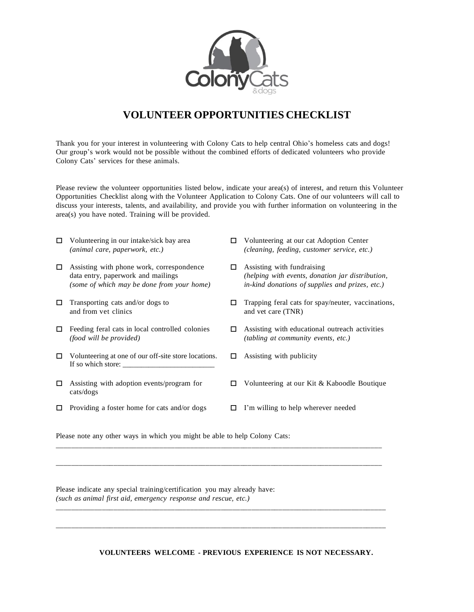

## **VOLUNTEER OPPORTUNITIES CHECKLIST**

Thank you for your interest in volunteering with Colony Cats to help central Ohio's homeless cats and dogs! Our group's work would not be possible without the combined efforts of dedicated volunteers who provide Colony Cats' services for these animals.

Please review the volunteer opportunities listed below, indicate your area(s) of interest, and return this Volunteer Opportunities Checklist along with the Volunteer Application to Colony Cats. One of our volunteers will call to discuss your interests, talents, and availability, and provide you with further information on volunteering in the area(s) you have noted. Training will be provided.

| □ | Volunteering in our intake/sick bay area<br>(animal care, paperwork, etc.)                                                    | □ | Volunteering at our cat Adoption Center<br>(cleaning, feeding, customer service, etc.)                                            |
|---|-------------------------------------------------------------------------------------------------------------------------------|---|-----------------------------------------------------------------------------------------------------------------------------------|
| 0 | Assisting with phone work, correspondence<br>data entry, paperwork and mailings<br>(some of which may be done from your home) | □ | Assisting with fundraising<br>(helping with events, donation jar distribution,<br>in-kind donations of supplies and prizes, etc.) |
| □ | Transporting cats and/or dogs to<br>and from yet clinics                                                                      | П | Trapping feral cats for spay/neuter, vaccinations,<br>and vet care (TNR)                                                          |
| □ | Feeding feral cats in local controlled colonies<br><i>(food will be provided)</i>                                             | П | Assisting with educational outreach activities<br><i>(tabling at community events, etc.)</i>                                      |
| □ | Volunteering at one of our off-site store locations.<br>If so which store:                                                    | ш | Assisting with publicity                                                                                                          |
| □ | Assisting with adoption events/program for<br>cats/dogs                                                                       | П | Volunteering at our Kit & Kaboodle Boutique                                                                                       |
| □ | Providing a foster home for cats and/or dogs                                                                                  | ш | I'm willing to help wherever needed                                                                                               |

\_\_\_\_\_\_\_\_\_\_\_\_\_\_\_\_\_\_\_\_\_\_\_\_\_\_\_\_\_\_\_\_\_\_\_\_\_\_\_\_\_\_\_\_\_\_\_\_\_\_\_\_\_\_\_\_\_\_\_\_\_\_\_\_\_\_\_\_\_\_\_\_\_\_\_\_\_\_\_\_\_\_\_\_\_

\_\_\_\_\_\_\_\_\_\_\_\_\_\_\_\_\_\_\_\_\_\_\_\_\_\_\_\_\_\_\_\_\_\_\_\_\_\_\_\_\_\_\_\_\_\_\_\_\_\_\_\_\_\_\_\_\_\_\_\_\_\_\_\_\_\_\_\_\_\_\_\_\_\_\_\_\_\_\_\_\_\_\_\_\_

\_\_\_\_\_\_\_\_\_\_\_\_\_\_\_\_\_\_\_\_\_\_\_\_\_\_\_\_\_\_\_\_\_\_\_\_\_\_\_\_\_\_\_\_\_\_\_\_\_\_\_\_\_\_\_\_\_\_\_\_\_\_\_\_\_\_\_\_\_\_\_\_\_\_\_\_\_\_\_\_\_\_\_\_\_\_

\_\_\_\_\_\_\_\_\_\_\_\_\_\_\_\_\_\_\_\_\_\_\_\_\_\_\_\_\_\_\_\_\_\_\_\_\_\_\_\_\_\_\_\_\_\_\_\_\_\_\_\_\_\_\_\_\_\_\_\_\_\_\_\_\_\_\_\_\_\_\_\_\_\_\_\_\_\_\_\_\_\_\_\_\_\_

Please note any other ways in which you might be able to help Colony Cats:

Please indicate any special training/certification you may already have: *(such as animal first aid, emergency response and rescue, etc.)*

**VOLUNTEERS WELCOME - PREVIOUS EXPERIENCE IS NOT NECESSARY.**